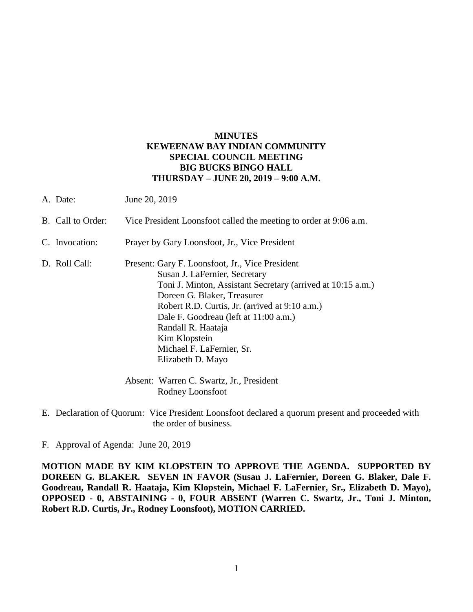## **MINUTES KEWEENAW BAY INDIAN COMMUNITY SPECIAL COUNCIL MEETING BIG BUCKS BINGO HALL THURSDAY – JUNE 20, 2019 – 9:00 A.M.**

| A. Date:          | June 20, 2019                                                                                                                                                                                                                                                                                                                                                      |
|-------------------|--------------------------------------------------------------------------------------------------------------------------------------------------------------------------------------------------------------------------------------------------------------------------------------------------------------------------------------------------------------------|
| B. Call to Order: | Vice President Loonsfoot called the meeting to order at 9:06 a.m.                                                                                                                                                                                                                                                                                                  |
| C. Invocation:    | Prayer by Gary Loonsfoot, Jr., Vice President                                                                                                                                                                                                                                                                                                                      |
| D. Roll Call:     | Present: Gary F. Loonsfoot, Jr., Vice President<br>Susan J. LaFernier, Secretary<br>Toni J. Minton, Assistant Secretary (arrived at 10:15 a.m.)<br>Doreen G. Blaker, Treasurer<br>Robert R.D. Curtis, Jr. (arrived at 9:10 a.m.)<br>Dale F. Goodreau (left at 11:00 a.m.)<br>Randall R. Haataja<br>Kim Klopstein<br>Michael F. LaFernier, Sr.<br>Elizabeth D. Mayo |
|                   | Absent: Warren C. Swartz, Jr., President<br>Rodney Loonsfoot                                                                                                                                                                                                                                                                                                       |

E. Declaration of Quorum: Vice President Loonsfoot declared a quorum present and proceeded with the order of business.

F. Approval of Agenda: June 20, 2019

**MOTION MADE BY KIM KLOPSTEIN TO APPROVE THE AGENDA. SUPPORTED BY DOREEN G. BLAKER. SEVEN IN FAVOR (Susan J. LaFernier, Doreen G. Blaker, Dale F. Goodreau, Randall R. Haataja, Kim Klopstein, Michael F. LaFernier, Sr., Elizabeth D. Mayo), OPPOSED - 0, ABSTAINING - 0, FOUR ABSENT (Warren C. Swartz, Jr., Toni J. Minton, Robert R.D. Curtis, Jr., Rodney Loonsfoot), MOTION CARRIED.**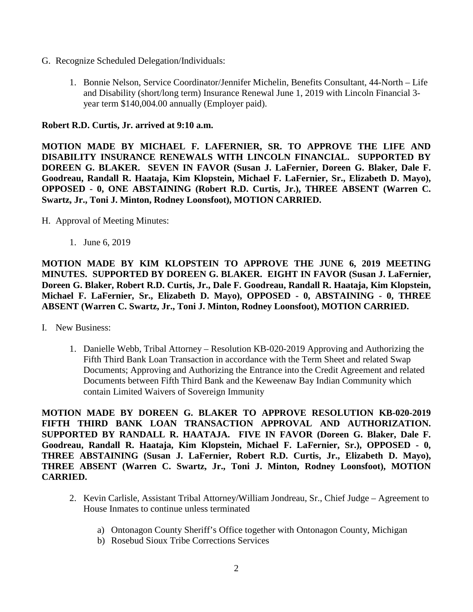- G. Recognize Scheduled Delegation/Individuals:
	- 1. Bonnie Nelson, Service Coordinator/Jennifer Michelin, Benefits Consultant, 44-North Life and Disability (short/long term) Insurance Renewal June 1, 2019 with Lincoln Financial 3 year term \$140,004.00 annually (Employer paid).

## **Robert R.D. Curtis, Jr. arrived at 9:10 a.m.**

**MOTION MADE BY MICHAEL F. LAFERNIER, SR. TO APPROVE THE LIFE AND DISABILITY INSURANCE RENEWALS WITH LINCOLN FINANCIAL. SUPPORTED BY DOREEN G. BLAKER. SEVEN IN FAVOR (Susan J. LaFernier, Doreen G. Blaker, Dale F. Goodreau, Randall R. Haataja, Kim Klopstein, Michael F. LaFernier, Sr., Elizabeth D. Mayo), OPPOSED - 0, ONE ABSTAINING (Robert R.D. Curtis, Jr.), THREE ABSENT (Warren C. Swartz, Jr., Toni J. Minton, Rodney Loonsfoot), MOTION CARRIED.**

- H. Approval of Meeting Minutes:
	- 1. June 6, 2019

**MOTION MADE BY KIM KLOPSTEIN TO APPROVE THE JUNE 6, 2019 MEETING MINUTES. SUPPORTED BY DOREEN G. BLAKER. EIGHT IN FAVOR (Susan J. LaFernier, Doreen G. Blaker, Robert R.D. Curtis, Jr., Dale F. Goodreau, Randall R. Haataja, Kim Klopstein, Michael F. LaFernier, Sr., Elizabeth D. Mayo), OPPOSED - 0, ABSTAINING - 0, THREE ABSENT (Warren C. Swartz, Jr., Toni J. Minton, Rodney Loonsfoot), MOTION CARRIED.**

- I. New Business:
	- 1. Danielle Webb, Tribal Attorney Resolution KB-020-2019 Approving and Authorizing the Fifth Third Bank Loan Transaction in accordance with the Term Sheet and related Swap Documents; Approving and Authorizing the Entrance into the Credit Agreement and related Documents between Fifth Third Bank and the Keweenaw Bay Indian Community which contain Limited Waivers of Sovereign Immunity

**MOTION MADE BY DOREEN G. BLAKER TO APPROVE RESOLUTION KB-020-2019 FIFTH THIRD BANK LOAN TRANSACTION APPROVAL AND AUTHORIZATION. SUPPORTED BY RANDALL R. HAATAJA. FIVE IN FAVOR (Doreen G. Blaker, Dale F. Goodreau, Randall R. Haataja, Kim Klopstein, Michael F. LaFernier, Sr.), OPPOSED - 0, THREE ABSTAINING (Susan J. LaFernier, Robert R.D. Curtis, Jr., Elizabeth D. Mayo), THREE ABSENT (Warren C. Swartz, Jr., Toni J. Minton, Rodney Loonsfoot), MOTION CARRIED.**

- 2. Kevin Carlisle, Assistant Tribal Attorney/William Jondreau, Sr., Chief Judge Agreement to House Inmates to continue unless terminated
	- a) Ontonagon County Sheriff's Office together with Ontonagon County, Michigan
	- b) Rosebud Sioux Tribe Corrections Services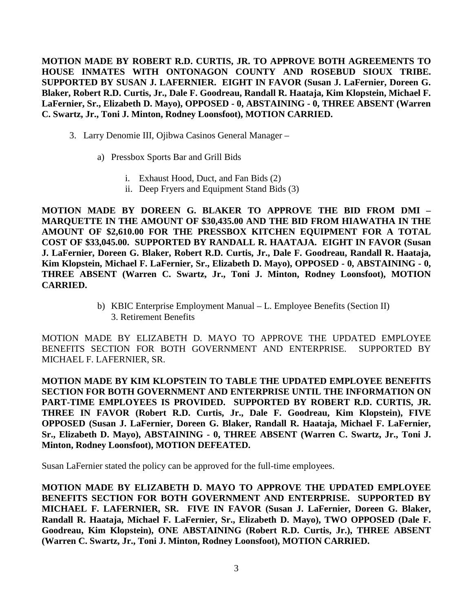**MOTION MADE BY ROBERT R.D. CURTIS, JR. TO APPROVE BOTH AGREEMENTS TO HOUSE INMATES WITH ONTONAGON COUNTY AND ROSEBUD SIOUX TRIBE. SUPPORTED BY SUSAN J. LAFERNIER. EIGHT IN FAVOR (Susan J. LaFernier, Doreen G. Blaker, Robert R.D. Curtis, Jr., Dale F. Goodreau, Randall R. Haataja, Kim Klopstein, Michael F. LaFernier, Sr., Elizabeth D. Mayo), OPPOSED - 0, ABSTAINING - 0, THREE ABSENT (Warren C. Swartz, Jr., Toni J. Minton, Rodney Loonsfoot), MOTION CARRIED.**

- 3. Larry Denomie III, Ojibwa Casinos General Manager
	- a) Pressbox Sports Bar and Grill Bids
		- i. Exhaust Hood, Duct, and Fan Bids (2)
		- ii. Deep Fryers and Equipment Stand Bids (3)

**MOTION MADE BY DOREEN G. BLAKER TO APPROVE THE BID FROM DMI – MARQUETTE IN THE AMOUNT OF \$30,435.00 AND THE BID FROM HIAWATHA IN THE AMOUNT OF \$2,610.00 FOR THE PRESSBOX KITCHEN EQUIPMENT FOR A TOTAL COST OF \$33,045.00. SUPPORTED BY RANDALL R. HAATAJA. EIGHT IN FAVOR (Susan J. LaFernier, Doreen G. Blaker, Robert R.D. Curtis, Jr., Dale F. Goodreau, Randall R. Haataja, Kim Klopstein, Michael F. LaFernier, Sr., Elizabeth D. Mayo), OPPOSED - 0, ABSTAINING - 0, THREE ABSENT (Warren C. Swartz, Jr., Toni J. Minton, Rodney Loonsfoot), MOTION CARRIED.**

> b) KBIC Enterprise Employment Manual – L. Employee Benefits (Section II) 3. Retirement Benefits

MOTION MADE BY ELIZABETH D. MAYO TO APPROVE THE UPDATED EMPLOYEE BENEFITS SECTION FOR BOTH GOVERNMENT AND ENTERPRISE. SUPPORTED BY MICHAEL F. LAFERNIER, SR.

**MOTION MADE BY KIM KLOPSTEIN TO TABLE THE UPDATED EMPLOYEE BENEFITS SECTION FOR BOTH GOVERNMENT AND ENTERPRISE UNTIL THE INFORMATION ON PART-TIME EMPLOYEES IS PROVIDED. SUPPORTED BY ROBERT R.D. CURTIS, JR. THREE IN FAVOR (Robert R.D. Curtis, Jr., Dale F. Goodreau, Kim Klopstein), FIVE OPPOSED (Susan J. LaFernier, Doreen G. Blaker, Randall R. Haataja, Michael F. LaFernier, Sr., Elizabeth D. Mayo), ABSTAINING - 0, THREE ABSENT (Warren C. Swartz, Jr., Toni J. Minton, Rodney Loonsfoot), MOTION DEFEATED.**

Susan LaFernier stated the policy can be approved for the full-time employees.

**MOTION MADE BY ELIZABETH D. MAYO TO APPROVE THE UPDATED EMPLOYEE BENEFITS SECTION FOR BOTH GOVERNMENT AND ENTERPRISE. SUPPORTED BY MICHAEL F. LAFERNIER, SR. FIVE IN FAVOR (Susan J. LaFernier, Doreen G. Blaker, Randall R. Haataja, Michael F. LaFernier, Sr., Elizabeth D. Mayo), TWO OPPOSED (Dale F. Goodreau, Kim Klopstein), ONE ABSTAINING (Robert R.D. Curtis, Jr.), THREE ABSENT (Warren C. Swartz, Jr., Toni J. Minton, Rodney Loonsfoot), MOTION CARRIED.**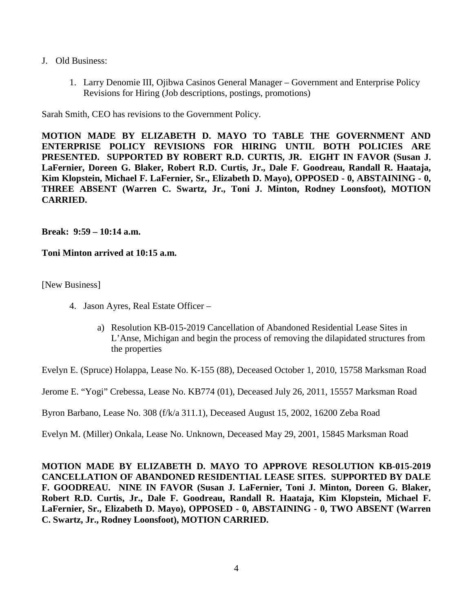- J. Old Business:
	- 1. Larry Denomie III, Ojibwa Casinos General Manager Government and Enterprise Policy Revisions for Hiring (Job descriptions, postings, promotions)

Sarah Smith, CEO has revisions to the Government Policy.

**MOTION MADE BY ELIZABETH D. MAYO TO TABLE THE GOVERNMENT AND ENTERPRISE POLICY REVISIONS FOR HIRING UNTIL BOTH POLICIES ARE PRESENTED. SUPPORTED BY ROBERT R.D. CURTIS, JR. EIGHT IN FAVOR (Susan J. LaFernier, Doreen G. Blaker, Robert R.D. Curtis, Jr., Dale F. Goodreau, Randall R. Haataja, Kim Klopstein, Michael F. LaFernier, Sr., Elizabeth D. Mayo), OPPOSED - 0, ABSTAINING - 0, THREE ABSENT (Warren C. Swartz, Jr., Toni J. Minton, Rodney Loonsfoot), MOTION CARRIED.**

**Break: 9:59 – 10:14 a.m.**

**Toni Minton arrived at 10:15 a.m.**

[New Business]

- 4. Jason Ayres, Real Estate Officer
	- a) Resolution KB-015-2019 Cancellation of Abandoned Residential Lease Sites in L'Anse, Michigan and begin the process of removing the dilapidated structures from the properties

Evelyn E. (Spruce) Holappa, Lease No. K-155 (88), Deceased October 1, 2010, 15758 Marksman Road

Jerome E. "Yogi" Crebessa, Lease No. KB774 (01), Deceased July 26, 2011, 15557 Marksman Road

Byron Barbano, Lease No. 308 (f/k/a 311.1), Deceased August 15, 2002, 16200 Zeba Road

Evelyn M. (Miller) Onkala, Lease No. Unknown, Deceased May 29, 2001, 15845 Marksman Road

**MOTION MADE BY ELIZABETH D. MAYO TO APPROVE RESOLUTION KB-015-2019 CANCELLATION OF ABANDONED RESIDENTIAL LEASE SITES. SUPPORTED BY DALE F. GOODREAU. NINE IN FAVOR (Susan J. LaFernier, Toni J. Minton, Doreen G. Blaker, Robert R.D. Curtis, Jr., Dale F. Goodreau, Randall R. Haataja, Kim Klopstein, Michael F. LaFernier, Sr., Elizabeth D. Mayo), OPPOSED - 0, ABSTAINING - 0, TWO ABSENT (Warren C. Swartz, Jr., Rodney Loonsfoot), MOTION CARRIED.**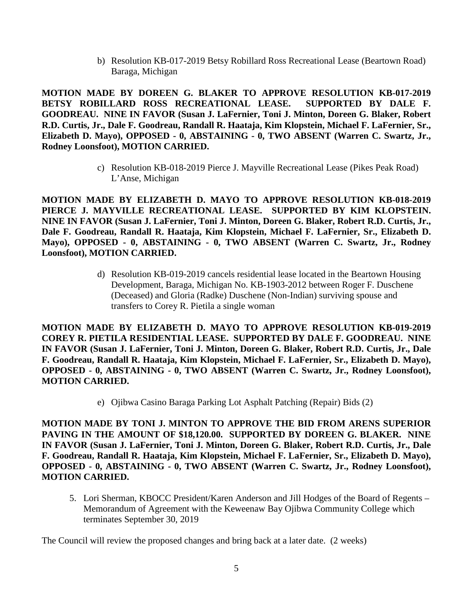b) Resolution KB-017-2019 Betsy Robillard Ross Recreational Lease (Beartown Road) Baraga, Michigan

**MOTION MADE BY DOREEN G. BLAKER TO APPROVE RESOLUTION KB-017-2019 BETSY ROBILLARD ROSS RECREATIONAL LEASE. SUPPORTED BY DALE F. GOODREAU. NINE IN FAVOR (Susan J. LaFernier, Toni J. Minton, Doreen G. Blaker, Robert R.D. Curtis, Jr., Dale F. Goodreau, Randall R. Haataja, Kim Klopstein, Michael F. LaFernier, Sr., Elizabeth D. Mayo), OPPOSED - 0, ABSTAINING - 0, TWO ABSENT (Warren C. Swartz, Jr., Rodney Loonsfoot), MOTION CARRIED.**

> c) Resolution KB-018-2019 Pierce J. Mayville Recreational Lease (Pikes Peak Road) L'Anse, Michigan

**MOTION MADE BY ELIZABETH D. MAYO TO APPROVE RESOLUTION KB-018-2019 PIERCE J. MAYVILLE RECREATIONAL LEASE. SUPPORTED BY KIM KLOPSTEIN. NINE IN FAVOR (Susan J. LaFernier, Toni J. Minton, Doreen G. Blaker, Robert R.D. Curtis, Jr., Dale F. Goodreau, Randall R. Haataja, Kim Klopstein, Michael F. LaFernier, Sr., Elizabeth D. Mayo), OPPOSED - 0, ABSTAINING - 0, TWO ABSENT (Warren C. Swartz, Jr., Rodney Loonsfoot), MOTION CARRIED.**

> d) Resolution KB-019-2019 cancels residential lease located in the Beartown Housing Development, Baraga, Michigan No. KB-1903-2012 between Roger F. Duschene (Deceased) and Gloria (Radke) Duschene (Non-Indian) surviving spouse and transfers to Corey R. Pietila a single woman

**MOTION MADE BY ELIZABETH D. MAYO TO APPROVE RESOLUTION KB-019-2019 COREY R. PIETILA RESIDENTIAL LEASE. SUPPORTED BY DALE F. GOODREAU. NINE IN FAVOR (Susan J. LaFernier, Toni J. Minton, Doreen G. Blaker, Robert R.D. Curtis, Jr., Dale F. Goodreau, Randall R. Haataja, Kim Klopstein, Michael F. LaFernier, Sr., Elizabeth D. Mayo), OPPOSED - 0, ABSTAINING - 0, TWO ABSENT (Warren C. Swartz, Jr., Rodney Loonsfoot), MOTION CARRIED.**

e) Ojibwa Casino Baraga Parking Lot Asphalt Patching (Repair) Bids (2)

**MOTION MADE BY TONI J. MINTON TO APPROVE THE BID FROM ARENS SUPERIOR PAVING IN THE AMOUNT OF \$18,120.00. SUPPORTED BY DOREEN G. BLAKER. NINE IN FAVOR (Susan J. LaFernier, Toni J. Minton, Doreen G. Blaker, Robert R.D. Curtis, Jr., Dale F. Goodreau, Randall R. Haataja, Kim Klopstein, Michael F. LaFernier, Sr., Elizabeth D. Mayo), OPPOSED - 0, ABSTAINING - 0, TWO ABSENT (Warren C. Swartz, Jr., Rodney Loonsfoot), MOTION CARRIED.**

5. Lori Sherman, KBOCC President/Karen Anderson and Jill Hodges of the Board of Regents – Memorandum of Agreement with the Keweenaw Bay Ojibwa Community College which terminates September 30, 2019

The Council will review the proposed changes and bring back at a later date. (2 weeks)